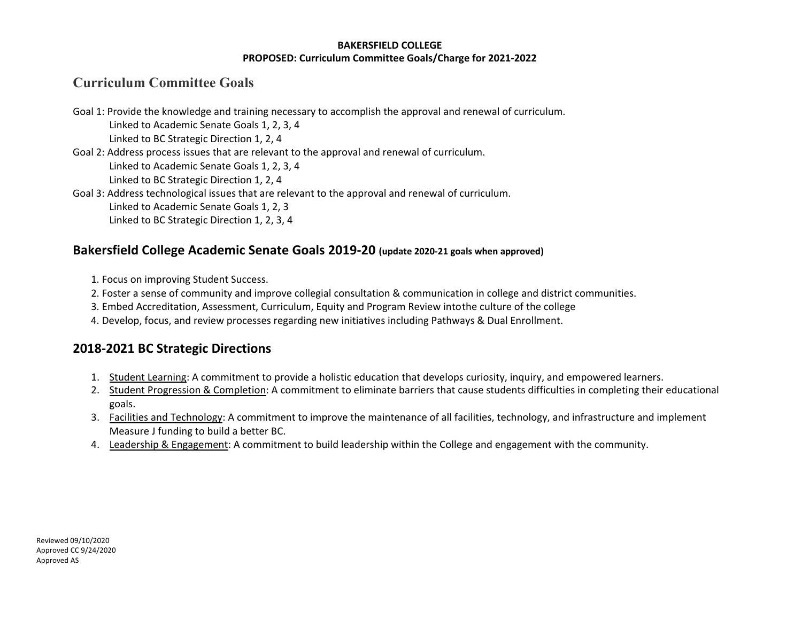#### **BAKERSFIELD COLLEGE PROPOSED: Curriculum Committee Goals/Charge for 2021-2022**

# **Curriculum Committee Goals**

Goal 1: Provide the knowledge and training necessary to accomplish the approval and renewal of curriculum. Linked to Academic Senate Goals 1, 2, 3, 4 Linked to BC Strategic Direction 1, 2, 4 Goal 2: Address process issues that are relevant to the approval and renewal of curriculum. Linked to Academic Senate Goals 1, 2, 3, 4 Linked to BC Strategic Direction 1, 2, 4 Goal 3: Address technological issues that are relevant to the approval and renewal of curriculum. Linked to Academic Senate Goals 1, 2, 3 Linked to BC Strategic Direction 1, 2, 3, 4

### **Bakersfield College Academic Senate Goals 2019-20 (update 2020-21 goals when approved)**

- 1. Focus on improving Student Success.
- 2. Foster a sense of community and improve collegial consultation & communication in college and district communities.
- 3. Embed Accreditation, Assessment, Curriculum, Equity and Program Review intothe culture of the college
- 4. Develop, focus, and review processes regarding new initiatives including Pathways & Dual Enrollment.

## **2018-2021 BC Strategic Directions**

- 1. Student Learning: A commitment to provide a holistic education that develops curiosity, inquiry, and empowered learners.
- 2. Student Progression & Completion: A commitment to eliminate barriers that cause students difficulties in completing their educational goals.
- 3. Facilities and Technology: A commitment to improve the maintenance of all facilities, technology, and infrastructure and implement Measure J funding to build a better BC.
- 4. Leadership & Engagement: A commitment to build leadership within the College and engagement with the community.